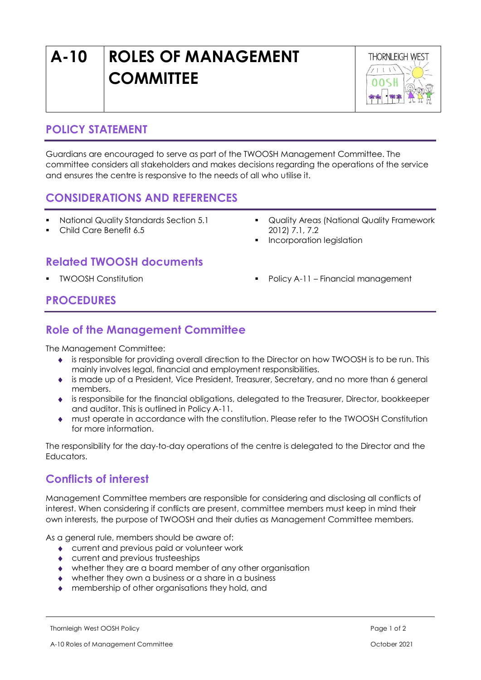# **A-10 ROLES OF MANAGEMENT COMMITTEE**



#### **POLICY STATEMENT**

Guardians are encouraged to serve as part of the TWOOSH Management Committee. The committee considers all stakeholders and makes decisions regarding the operations of the service and ensures the centre is responsive to the needs of all who utilise it.

#### **CONSIDERATIONS AND REFERENCES**

- National Quality Standards Section 5.1
- Child Care Benefit 6.5
- Quality Areas (National Quality Framework 2012) 7.1, 7.2
- Incorporation legislation

## **Related TWOOSH documents**

- 
- TWOOSH Constitution Policy A-11 Financial management

#### **PROCEDURES**

#### **Role of the Management Committee**

The Management Committee:

- is responsible for providing overall direction to the Director on how TWOOSH is to be run. This mainly involves legal, financial and employment responsibilities.
- is made up of a President, Vice President, Treasurer, Secretary, and no more than 6 general members.
- is responsibile for the financial obligations, delegated to the Treasurer, Director, bookkeeper and auditor. This is outlined in Policy A-11.
- must operate in accordance with the constitution. Please refer to the TWOOSH Constitution for more information.

The responsibility for the day-to-day operations of the centre is delegated to the Director and the Educators.

### **Conflicts of interest**

Management Committee members are responsible for considering and disclosing all conflicts of interest. When considering if conflicts are present, committee members must keep in mind their own interests, the purpose of TWOOSH and their duties as Management Committee members.

As a general rule, members should be aware of:

- current and previous paid or volunteer work
- current and previous trusteeships
- whether they are a board member of any other organisation
- whether they own a business or a share in a business
- membership of other organisations they hold, and

Thornleigh West OOSH Policy **Page 1 of 2**